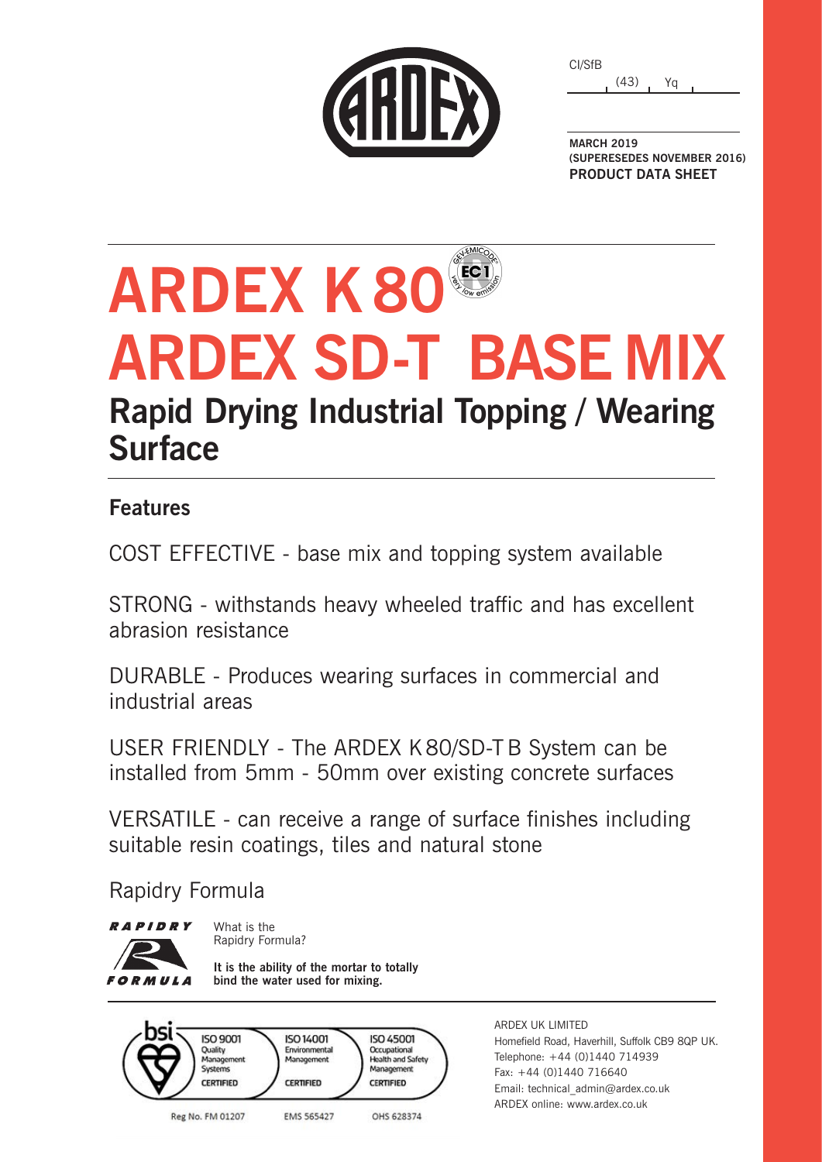| CARDE |  |  |
|-------|--|--|
|       |  |  |

(43) Yq CI/SfB

**MARCH 2019 (SUPERESEDES NOVEMBER 2016) PRODUCT DATA SHEET**

# **ARDEX K80 ARDEX SD-T BASE MIX Rapid Drying Industrial Topping / Wearing Surface**

### **Features**

COST EFFECTIVE - base mix and topping system available

STRONG - withstands heavy wheeled traffic and has excellent abrasion resistance

DURABLE - Produces wearing surfaces in commercial and industrial areas

USER FRIENDLY - The ARDEX K80/SD-T B System can be installed from 5mm - 50mm over existing concrete surfaces

VERSATILE - can receive a range of surface finishes including suitable resin coatings, tiles and natural stone

Rapidry Formula

**RAPIDRY FORMULA** 

What is the Rapidry Formula?

**It is the ability of the mortar to totally bind the water used for mixing.**



ARDEX UK LIMITED Homefield Road, Haverhill, Suffolk CB9 8QP UK. Telephone: +44 (0)1440 714939 Fax: +44 (0)1440 716640 Email: technical\_admin@ardex.co.uk ARDEX online: www.ardex.co.uk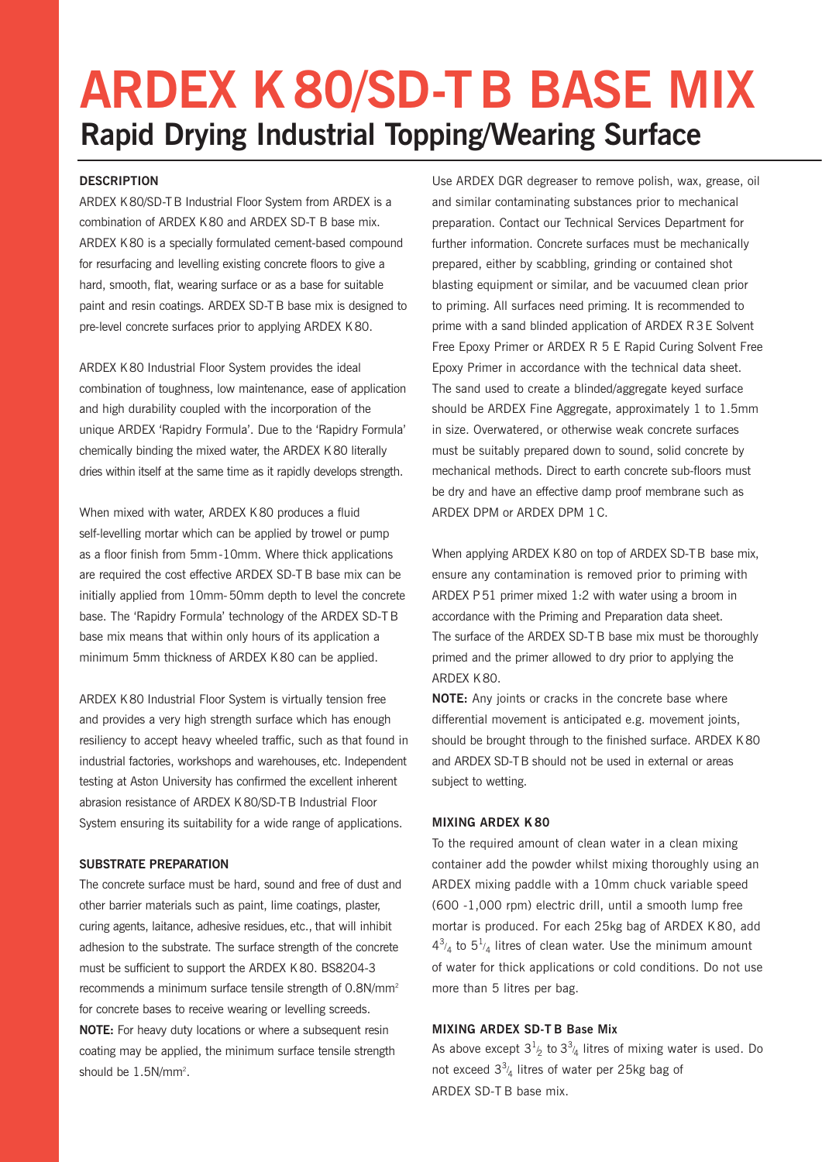### **ARDEX K80/SD-TB BASE MIX Rapid Drying Industrial Topping/Wearing Surface**

#### **DESCRIPTION**

ARDEX K80/SD-TB Industrial Floor System from ARDEX is a combination of ARDEX K80 and ARDEX SD-T B base mix. ARDEX K80 is a specially formulated cement-based compound for resurfacing and levelling existing concrete floors to give a hard, smooth, flat, wearing surface or as a base for suitable paint and resin coatings. ARDEX SD-TB base mix is designed to pre-level concrete surfaces prior to applying ARDEX K80.

ARDEX K80 Industrial Floor System provides the ideal combination of toughness, low maintenance, ease of application and high durability coupled with the incorporation of the unique ARDEX 'Rapidry Formula'. Due to the 'Rapidry Formula' chemically binding the mixed water, the ARDEX K80 literally dries within itself at the same time as it rapidly develops strength.

When mixed with water, ARDEX K80 produces a fluid self-levelling mortar which can be applied by trowel or pump as a floor finish from 5mm-10mm. Where thick applications are required the cost effective ARDEX SD-TB base mix can be initially applied from 10mm-50mm depth to level the concrete base. The 'Rapidry Formula' technology of the ARDEX SD-TB base mix means that within only hours of its application a minimum 5mm thickness of ARDEX K80 can be applied.

ARDEX K80 Industrial Floor System is virtually tension free and provides a very high strength surface which has enough resiliency to accept heavy wheeled traffic, such as that found in industrial factories, workshops and warehouses, etc. Independent testing at Aston University has confirmed the excellent inherent abrasion resistance of ARDEX K80/SD-TB Industrial Floor System ensuring its suitability for a wide range of applications.

#### **SUBSTRATE PREPARATION**

The concrete surface must be hard, sound and free of dust and other barrier materials such as paint, lime coatings, plaster, curing agents, laitance, adhesive residues, etc., that will inhibit adhesion to the substrate. The surface strength of the concrete must be sufficient to support the ARDEX K80. BS8204-3 recommends a minimum surface tensile strength of 0.8N/mm<sup>2</sup> for concrete bases to receive wearing or levelling screeds.

**NOTE:** For heavy duty locations or where a subsequent resin coating may be applied, the minimum surface tensile strength should be 1.5N/mm<sup>2</sup>.

Use ARDEX DGR degreaser to remove polish, wax, grease, oil and similar contaminating substances prior to mechanical preparation. Contact our Technical Services Department for further information. Concrete surfaces must be mechanically prepared, either by scabbling, grinding or contained shot blasting equipment or similar, and be vacuumed clean prior to priming. All surfaces need priming. It is recommended to prime with a sand blinded application of ARDEX R3E Solvent Free Epoxy Primer or ARDEX R 5 E Rapid Curing Solvent Free Epoxy Primer in accordance with the technical data sheet. The sand used to create a blinded/aggregate keyed surface should be ARDEX Fine Aggregate, approximately 1 to 1.5mm in size. Overwatered, or otherwise weak concrete surfaces must be suitably prepared down to sound, solid concrete by mechanical methods. Direct to earth concrete sub-floors must be dry and have an effective damp proof membrane such as ARDEX DPM or ARDEX DPM 1C.

When applying ARDEX K80 on top of ARDEX SD-TB base mix, ensure any contamination is removed prior to priming with ARDEX P51 primer mixed 1:2 with water using a broom in accordance with the Priming and Preparation data sheet. The surface of the ARDEX SD-TB base mix must be thoroughly primed and the primer allowed to dry prior to applying the ARDEX K80.

**NOTE:** Any joints or cracks in the concrete base where differential movement is anticipated e.g. movement joints, should be brought through to the finished surface. ARDEX K80 and ARDEX SD-TB should not be used in external or areas subject to wetting.

#### **MIXING ARDEX K 80**

To the required amount of clean water in a clean mixing container add the powder whilst mixing thoroughly using an ARDEX mixing paddle with a 10mm chuck variable speed (600 -1,000 rpm) electric drill, until a smooth lump free mortar is produced. For each 25kg bag of ARDEX K 80, add  $4^{3/4}$  to  $5^{1/4}$  litres of clean water. Use the minimum amount of water for thick applications or cold conditions. Do not use more than 5 litres per bag.

#### **MIXING ARDEX SD-T B Base Mix**

As above except  $3^{1/2}$  to  $3^{3/4}$  litres of mixing water is used. Do not exceed  $3<sup>3</sup>/<sub>4</sub>$  litres of water per 25kg bag of ARDEX SD-T B base mix.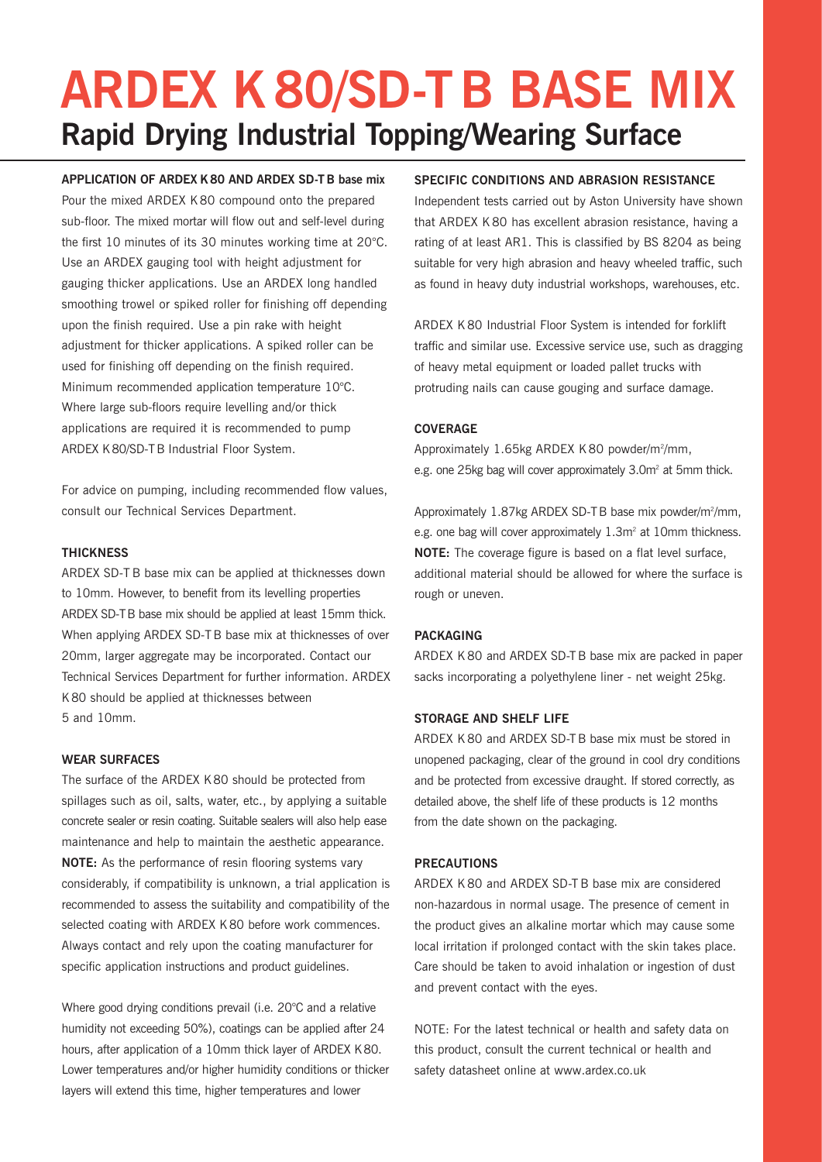### **ARDEX K80/SD-TB BASE MIX Rapid Drying Industrial Topping/Wearing Surface**

**APPLICATION OF ARDEX K80 AND ARDEX SD-TB base mix** Pour the mixed ARDEX K 80 compound onto the prepared sub-floor. The mixed mortar will flow out and self-level during the first 10 minutes of its 30 minutes working time at 20°C. Use an ARDEX gauging tool with height adjustment for gauging thicker applications. Use an ARDEX long handled smoothing trowel or spiked roller for finishing off depending upon the finish required. Use a pin rake with height adjustment for thicker applications. A spiked roller can be used for finishing off depending on the finish required. Minimum recommended application temperature 10°C. Where large sub-floors require levelling and/or thick applications are required it is recommended to pump ARDEX K80/SD-TB Industrial Floor System.

For advice on pumping, including recommended flow values, consult our Technical Services Department.

#### **THICKNESS**

ARDEX SD-T B base mix can be applied at thicknesses down to 10mm. However, to benefit from its levelling properties ARDEX SD-TB base mix should be applied at least 15mm thick. When applying ARDEX SD-T B base mix at thicknesses of over 20mm, larger aggregate may be incorporated. Contact our Technical Services Department for further information. ARDEX K80 should be applied at thicknesses between 5 and 10mm.

#### **WEAR SURFACES**

The surface of the ARDEX K80 should be protected from spillages such as oil, salts, water, etc., by applying a suitable concrete sealer or resin coating. Suitable sealers will also help ease maintenance and help to maintain the aesthetic appearance. **NOTE:** As the performance of resin flooring systems vary considerably, if compatibility is unknown, a trial application is recommended to assess the suitability and compatibility of the selected coating with ARDEX K80 before work commences. Always contact and rely upon the coating manufacturer for specific application instructions and product guidelines.

Where good drying conditions prevail (i.e. 20°C and a relative humidity not exceeding 50%), coatings can be applied after 24 hours, after application of a 10mm thick layer of ARDEX K80. Lower temperatures and/or higher humidity conditions or thicker layers will extend this time, higher temperatures and lower

#### **SPECIFIC CONDITIONS AND ABRASION RESISTANCE**

Independent tests carried out by Aston University have shown that ARDEX K 80 has excellent abrasion resistance, having a rating of at least AR1. This is classified by BS 8204 as being suitable for very high abrasion and heavy wheeled traffic, such as found in heavy duty industrial workshops, warehouses, etc.

ARDEX K 80 Industrial Floor System is intended for forklift traffic and similar use. Excessive service use, such as dragging of heavy metal equipment or loaded pallet trucks with protruding nails can cause gouging and surface damage.

#### **COVERAGE**

Approximately 1.65kg ARDEX K80 powder/m<sup>2</sup>/mm, e.g. one 25kg bag will cover approximately 3.0m<sup>2</sup> at 5mm thick.

Approximately 1.87kg ARDEX SD-TB base mix powder/m<sup>2</sup>/mm, e.g. one bag will cover approximately 1.3m<sup>2</sup> at 10mm thickness. **NOTE:** The coverage figure is based on a flat level surface, additional material should be allowed for where the surface is rough or uneven.

#### **PACKAGING**

ARDEX K 80 and ARDEX SD-TB base mix are packed in paper sacks incorporating a polyethylene liner - net weight 25kg.

#### **STORAGE AND SHELF LIFE**

ARDEX K 80 and ARDEX SD-TB base mix must be stored in unopened packaging, clear of the ground in cool dry conditions and be protected from excessive draught. If stored correctly, as detailed above, the shelf life of these products is 12 months from the date shown on the packaging.

#### **PRECAUTIONS**

ARDEX K 80 and ARDEX SD-T B base mix are considered non-hazardous in normal usage. The presence of cement in the product gives an alkaline mortar which may cause some local irritation if prolonged contact with the skin takes place. Care should be taken to avoid inhalation or ingestion of dust and prevent contact with the eyes.

NOTE: For the latest technical or health and safety data on this product, consult the current technical or health and safety datasheet online at www.ardex.co.uk